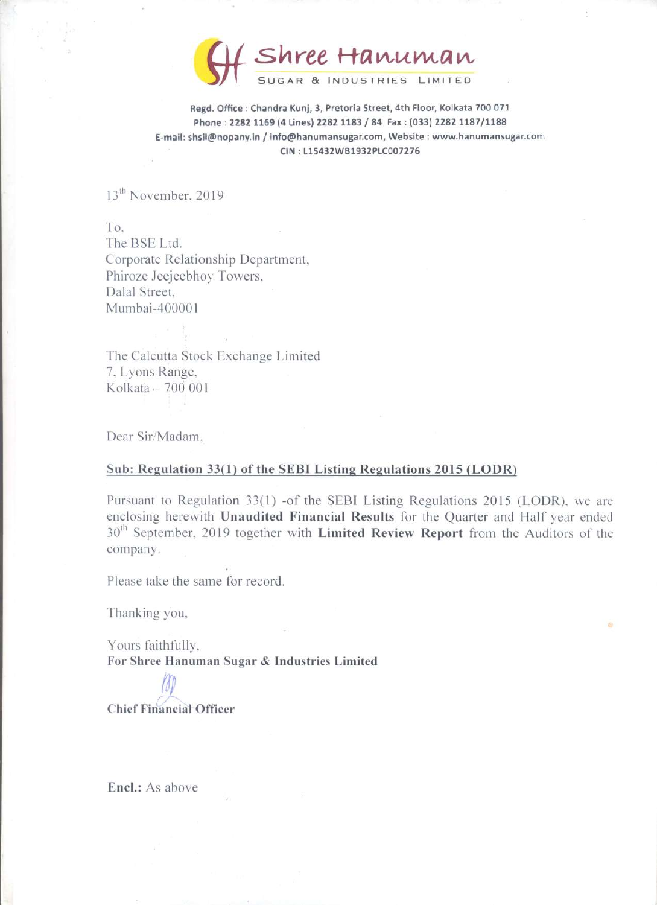Shree Hanuman Shree Hi SUGAR & INDUSTRIES LIMITED

Regd. Office : Chandra Kunj, 3, Pretoria Street, 4th Floor, Kolkata 700 071 Phone : 2282 1169 (4 Lines) 2282 1183 / 84 Fax : (033) 2282 1187/1188 E-mail: shsil@nopany.in / info@hanumansugar.com, Website : www.hanumansugar.com | CIN : L15432WB1932PLC007276

13<sup>th</sup> November, 2019

To, The BSE Ltd. Corporate Relationship Department, Phiroze Jeejeebhoy Towers, Dalal Street, Mumbai-400001

The Calcutta Stock Exchange Limited 7, Lyons Range, Kolkata — 700 001

Dear Sir/Madam,

### Sub: Regulation 33(1) of the SEBI Listing Regulations 2015 (LODR)

Pursuant to Regulation 33(1) -of the SEBI Listing Regulations 2015 (LODR). we are enclosing herewith Unaudited Financial Results for the Quarter and Half year ended 30<sup>th</sup> September, 2019 together with Limited Review Report from the Auditors of the company.

Please take the same for record.

Thanking you.

Yours faithfully, For Shree Hanuman Sugar & Industries Limited

/T~ Chief Financial Officer

Encl.: As above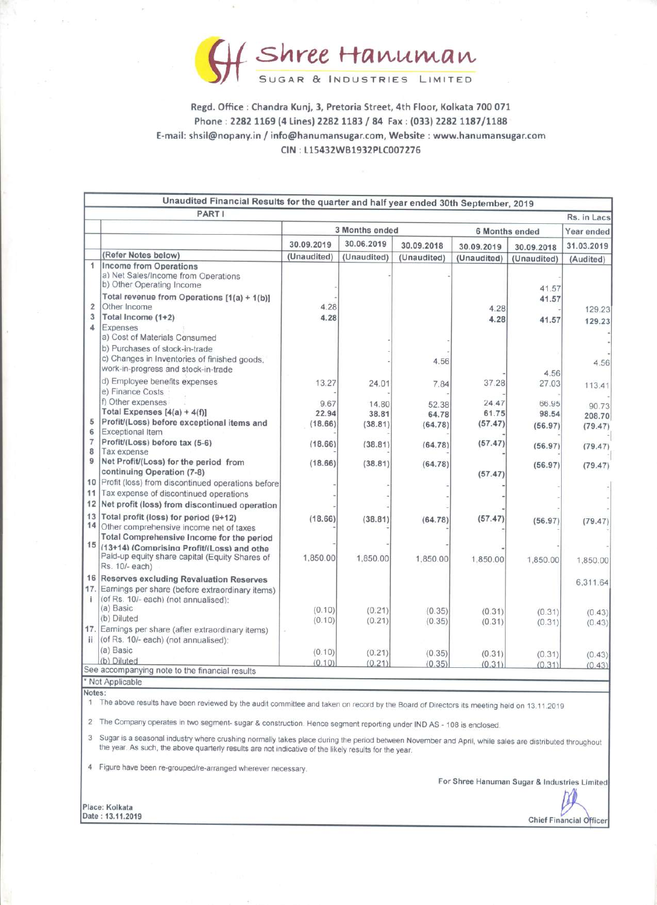

# Regd. Office : Chandra Kunj, 3, Pretoria Street, 4th Floor, Kolkata 700 071 Phone : 2282 1169 (4 Lines) 2282 1183 / 84 Fax : (033) 2282 1187/1188 E-mail: shsil@nopany.in / info@hanumansugar.com, Website : www. hanumansugar.com **Shree** H<br>
Sugar & IND<br>
Regd. Office : Chandra Kunj, 3, Pretc<br>
Phone : 2282 1169 (4 Lines) 2282 1<br>
E-mail: shsil@nopany.in / info@hanumansu<br>
CIN : L15432WE CIN : L15432WB1932PLC007276 Regd. Office : Chandra Kunj, 3, Preto<br>
Regd. Office : Chandra Kunj, 3, Preto<br>
Phone : 2282 1169 (4 Lines) 2282 1<br>
E-mail: shsil@nopany.in / info@hanumansu<br>
CIN : L15432WE<br>
Unaudited Financial Results for the quarter **SAYCE**<br>
Regd. Office : Chandra Kunj, 3, Preto<br>
Phone : 2282 1169 (4 Lines) 2282 1<br>
E-mail: shsil@nopany.in / info@hanumansu<br>
CIN : L15432WE<br>
Unaudited Financial Results for the quarter<br>
PARTI

|                                                                                                | Shree Hanuman<br>SUGAR & INDUSTRIES LIMITED |                  |                  |                  |                |                                 |
|------------------------------------------------------------------------------------------------|---------------------------------------------|------------------|------------------|------------------|----------------|---------------------------------|
|                                                                                                |                                             |                  |                  |                  |                |                                 |
|                                                                                                |                                             |                  |                  |                  |                |                                 |
|                                                                                                |                                             |                  |                  |                  |                |                                 |
|                                                                                                |                                             |                  |                  |                  |                |                                 |
|                                                                                                |                                             |                  |                  |                  |                |                                 |
|                                                                                                |                                             |                  |                  |                  |                |                                 |
|                                                                                                |                                             |                  |                  |                  |                |                                 |
|                                                                                                |                                             |                  |                  |                  |                |                                 |
|                                                                                                |                                             |                  |                  |                  |                |                                 |
|                                                                                                |                                             |                  |                  |                  |                |                                 |
|                                                                                                |                                             |                  |                  |                  |                |                                 |
|                                                                                                |                                             |                  |                  |                  |                |                                 |
|                                                                                                |                                             |                  |                  |                  |                |                                 |
|                                                                                                |                                             |                  |                  |                  |                |                                 |
| Regd. Office: Chandra Kunj, 3, Pretoria Street, 4th Floor, Kolkata 700 071                     |                                             |                  |                  |                  |                |                                 |
| Phone: 2282 1169 (4 Lines) 2282 1183 / 84 Fax: (033) 2282 1187/1188                            |                                             |                  |                  |                  |                |                                 |
|                                                                                                |                                             |                  |                  |                  |                |                                 |
| E-mail: shsil@nopany.in / info@hanumansugar.com, Website : www.hanumansugar.com                |                                             |                  |                  |                  |                |                                 |
|                                                                                                | CIN: L15432WB1932PLC007276                  |                  |                  |                  |                |                                 |
|                                                                                                |                                             |                  |                  |                  |                |                                 |
|                                                                                                |                                             |                  |                  |                  |                |                                 |
| Unaudited Financial Results for the quarter and half year ended 30th September, 2019<br>PART I |                                             |                  |                  |                  |                | Rs. in Lacs                     |
|                                                                                                |                                             | 3 Months ended   |                  | 6 Months ended   |                | Year ended                      |
|                                                                                                | 30.09.2019                                  | 30.06.2019       | 30.09.2018       | 30.09.2019       | 30.09.2018     | 31.03.2019                      |
| (Refer Notes below)<br>Income from Operations                                                  | (Unaudited)                                 | (Unaudited)      | (Unaudited)      | (Unaudited)      | (Unaudited)    | (Audited)                       |
| a) Net Sales/Income from Operations                                                            |                                             |                  |                  |                  |                |                                 |
| b) Other Operating Income<br>Total revenue from Operations [1(a) + 1(b)]                       |                                             |                  |                  |                  | 41.57<br>41.57 |                                 |
| Other Income<br>Total Income (1+2)                                                             | 4.28<br>4.28                                |                  |                  | 4.28             |                | 129.23                          |
| Expenses                                                                                       |                                             |                  |                  | 4.28             | 41.57          | 129.23                          |
| a) Cost of Materials Consumed                                                                  |                                             |                  |                  |                  |                |                                 |
|                                                                                                |                                             |                  |                  |                  |                |                                 |
| b) Purchases of stock-in-trade<br>c) Changes in Inventories of finished goods,                 |                                             |                  | 4.56             |                  |                | 4.56                            |
| work-in-progress and stock-in-trade                                                            |                                             |                  |                  |                  | 4.56           |                                 |
| d) Employee benefits expenses<br>e) Finance Costs                                              | 13.27                                       | 24.01            | 7.84             | 37.28            | 27.03          | 113.41                          |
| f) Other expenses<br>Total Expenses [4(a) + 4(f)]                                              | 9.67<br>22.94                               | 14.80<br>38.81   | 52.38<br>64.78   | 24.47<br>61.75   | 66.95<br>98.54 | 90.73                           |
| Profit/(Loss) before exceptional items and<br>Exceptional Item                                 | (18.66)                                     | (38.81)          | (64.78)          | (57.47)          | (56.97)        | 208.70<br>(79.47)               |
| Profit/(Loss) before tax (5-6)                                                                 | (18.66)                                     | (38.81)          | (64.78)          | (57.47)          | (56.97)        | (79.47)                         |
| Tax expense<br>Net Profit/(Loss) for the period from                                           | (18.66)                                     | (38.81)          | (64.78)          |                  | (56.97)        | (79.47)                         |
| continuing Operation (7-8)                                                                     |                                             |                  |                  | (57.47)          |                |                                 |
| 10 Profit (loss) from discontinued operations before<br>Tax expense of discontinued operations |                                             |                  |                  |                  |                |                                 |
| Net profit (loss) from discontinued operation<br>13 Total profit (loss) for period (9+12)      | (18.66)                                     | (38.81)          | (64.78)          | (57.47)          |                |                                 |
| 14 Other comprehensive income net of taxes                                                     |                                             |                  |                  |                  | (56.97)        |                                 |
| Total Comprehensive Income for the period<br>15 (13+14) (Comprising Profit/(Loss) and othe     |                                             |                  |                  |                  |                |                                 |
| Paid-up equity share capital (Equity Shares of<br>Rs. 10/- each)                               | 1,850.00                                    | 1,850.00         | 1,850.00         | 1,850.00         | 1,850.00       |                                 |
| 16 Reserves excluding Revaluation Reserves                                                     |                                             |                  |                  |                  |                | (79.47)<br>1,850.00<br>6.311.64 |
| 17. Earnings per share (before extraordinary items)<br>(of Rs. 10/- each) (not annualised):    |                                             |                  |                  |                  |                |                                 |
| (a) Basic<br>(b) Diluted                                                                       | (0.10)<br>(0.10)                            | (0.21)<br>(0.21) | (0.35)<br>(0.35) | (0.31)<br>(0.31) | (0.31)         |                                 |
| 17. Earnings per share (after extraordinary items)                                             |                                             |                  |                  |                  | (0.31)         |                                 |
| (of Rs. 10/- each) (not annualised):<br>(a) Basic<br>(b) Diluted                               | (0.10)<br>(0.10)                            | (0.21)<br>(0.21) | (0.35)           | (0.31)           | (0.31)         | (0.43)<br>(0.43)<br>(0.43)      |

Notes:

| Place: Kolkata   |  |
|------------------|--|
| Date: 13.11.2019 |  |

the contract of the contract of the contract of the contract of the contract of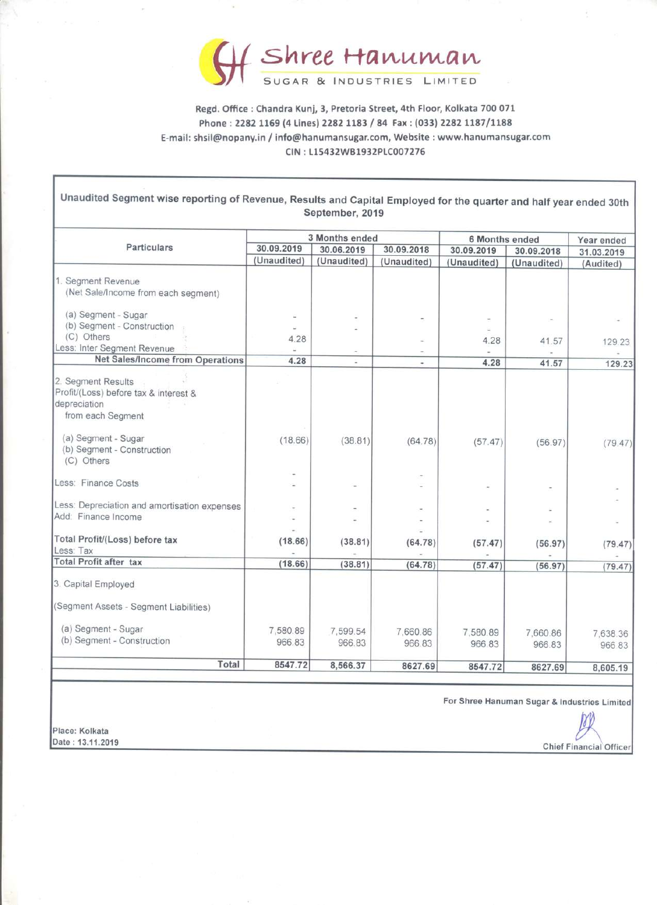

Regd. Office : Chandra Kunj, 3, Pretoria Street, 4th Floor, Kolkata 700 071 Phone : 2282 1169 (4 Lines) 2282 1183 / 84 Fax : (033) 2282 1187/1188 E-mail: shsil@nopany.in / info@hanumansugar.com, Website : www.hanumansugar.com Regd. Office : Chandra Kunj, 3, Pre<br>
Regd. Office : Chandra Kunj, 3, Pre<br>
Phone : 2282 1169 (4 Lines) 2282<br>
E-mail: shsil@nopany.in / info@hanuman<br>
CIN : L15432V CIN : L15432WB1932PLC007276

| <b>COL</b>                                                                                                         |                                                                             |                              |                            |                              |             |                          |  |
|--------------------------------------------------------------------------------------------------------------------|-----------------------------------------------------------------------------|------------------------------|----------------------------|------------------------------|-------------|--------------------------|--|
|                                                                                                                    |                                                                             |                              | Shree Hanuman              |                              |             |                          |  |
|                                                                                                                    | Regd. Office : Chandra Kunj, 3, Pretoria Street, 4th Floor, Kolkata 700 071 |                              | SUGAR & INDUSTRIES LIMITED |                              |             |                          |  |
| E-mail: shsil@nopany.in / info@hanumansugar.com, Website : www.hanumansugar.com                                    | Phone: 2282 1169 (4 Lines) 2282 1183 / 84 Fax: (033) 2282 1187/1188         |                              |                            |                              |             |                          |  |
|                                                                                                                    |                                                                             | CIN: L15432WB1932PLC007276   |                            |                              |             |                          |  |
| Unaudited Segment wise reporting of Revenue, Results and Capital Employed for the quarter and half year ended 30th |                                                                             | September, 2019              |                            |                              |             |                          |  |
| <b>Particulars</b>                                                                                                 | 30.09.2019                                                                  | 3 Months ended<br>30.06.2019 | 30.09.2018                 | 6 Months ended<br>30.09.2019 | 30.09.2018  | Year ended<br>31.03.2019 |  |
|                                                                                                                    | (Unaudited)                                                                 | (Unaudited)                  | (Unaudited)                | (Unaudited)                  | (Unaudited) | (Audited)                |  |
| 1. Segment Revenue<br>(Net Sale/Income from each segment)                                                          |                                                                             |                              |                            |                              |             |                          |  |
| (a) Segment - Sugar<br>(b) Segment - Construction                                                                  |                                                                             |                              |                            |                              |             |                          |  |
| (C) Others<br>Less: Inter Segment Revenue<br><b>Net Sales/Income from Operations</b>                               | 4.28                                                                        |                              |                            | 4.28                         | 41.57       | 129.23                   |  |
| 2. Segment Results<br>Profit/(Loss) before tax & interest &<br>depreciation<br>from each Segment                   | 4.28                                                                        | ٠                            | ٠                          | 4.28                         | 41.57       | 129.23                   |  |
| (a) Segment - Sugar<br>(b) Segment - Construction<br>(C) Others                                                    | (18.66)                                                                     | (38.81)                      | (64.78)                    | (57.47)                      | (56.97)     | (79.47)                  |  |
| Less: Finance Costs                                                                                                |                                                                             |                              |                            |                              |             |                          |  |
| Less: Depreciation and amortisation expenses<br>Add: Finance Income                                                |                                                                             |                              |                            |                              |             |                          |  |
| Total Profit/(Loss) before tax                                                                                     | (18.66)                                                                     | (38.81)                      | (64.78)                    | (57.47)                      | (56.97)     | (79.47)                  |  |
| Less: Tax<br><b>Total Profit after tax</b>                                                                         | (18.66)                                                                     | (38.81)                      | (64.78)                    | (57.47)                      | (56.97)     | (79.47)                  |  |
| 3. Capital Employed                                                                                                |                                                                             |                              |                            |                              |             |                          |  |
| (Segment Assets - Segment Liabilities)                                                                             |                                                                             |                              |                            |                              |             |                          |  |
| (a) Segment - Sugar<br>(b) Segment - Construction                                                                  | 7,580.89                                                                    | 7,599.54                     | 7,660.86                   | 7,580.89                     | 7,660.86    | 7,638.36                 |  |
|                                                                                                                    | 966.83                                                                      | 966.83                       | 966.83                     | 966.83                       | 966.83      | 966 83                   |  |

For Shree Hanuman Sugar & Industries Limited



 Date : 13.11.2019 Place: Kolkata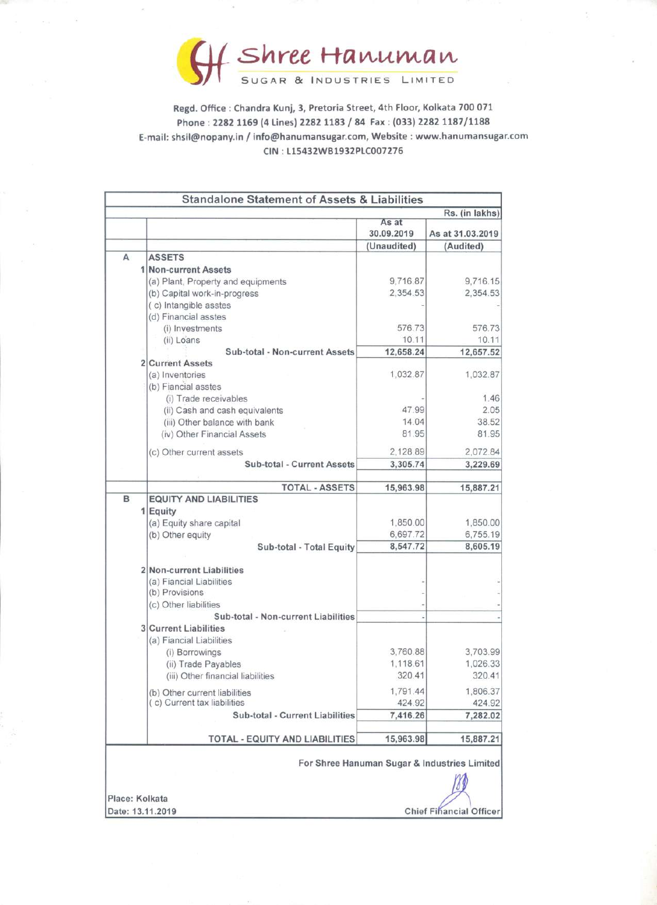

Regd. Office : Chandra Kunj, 3, Pretoria Street, 4th Floor, Kolkata 700 071 Phone : 2282 1169 (4 Lines) 2282 1183 / 84 Fax : (033) 2282 1187/1188 E-mail: shsil@nopany.in / info@hanumansugar.com, Website : www.hanumansugar.com **SAYE** CIN : L15432WB1932PLC007276 **SAYE SAYE** 

|   | Shree Hanuman<br>Regd. Office: Chandra Kunj, 3, Pretoria Street, 4th Floor, Kolkata 700 071               |                      |                      |
|---|-----------------------------------------------------------------------------------------------------------|----------------------|----------------------|
|   |                                                                                                           |                      |                      |
|   |                                                                                                           |                      |                      |
|   | Phone: 2282 1169 (4 Lines) 2282 1183 / 84 Fax: (033) 2282 1187/1188                                       |                      |                      |
|   | E-mail: shsil@nopany.in / info@hanumansugar.com, Website : www.hanumansugar<br>CIN: L15432WB1932PLC007276 |                      |                      |
|   |                                                                                                           |                      |                      |
|   |                                                                                                           |                      |                      |
|   | <b>Standalone Statement of Assets &amp; Liabilities</b>                                                   |                      | Rs. (in lakhs)       |
|   |                                                                                                           | As at<br>30.09.2019  | As at 31.03.2019     |
|   |                                                                                                           | (Unaudited)          | (Audited)            |
| A | <b>ASSETS</b><br>1 Non-current Assets                                                                     |                      |                      |
|   | (a) Plant, Property and equipments                                                                        | 9,716.87             | 9,716.15             |
|   | (b) Capital work-in-progress<br>(c) Intangible asstes                                                     | 2,354.53             | 2,354.53             |
|   | (d) Financial asstes                                                                                      |                      |                      |
|   | (i) Investments<br>(ii) Loans                                                                             | 576.73<br>10.11      | 576.73<br>10.11      |
|   | Sub-total - Non-current Assets                                                                            | 12,658.24            | 12,657.52            |
|   | 2 Current Assets<br>(a) Inventories<br>(b) Fiancial asstes                                                | 1,032.87             | 1,032.87             |
|   | (i) Trade receivables<br>(ii) Cash and cash equivalents                                                   | 47.99                | 1.46<br>2.05         |
|   | (iii) Other balance with bank                                                                             | 14.04                | 38.52                |
|   | (iv) Other Financial Assets                                                                               | 81.95                | 81.95                |
|   | (c) Other current assets                                                                                  | 2,128.89             | 2,072.84             |
|   | Sub-total - Current Assets                                                                                | 3,305.74             | 3,229.69             |
| B | <b>TOTAL - ASSETS</b><br><b>EQUITY AND LIABILITIES</b>                                                    | 15,963.98            | 15,887.21            |
|   | 1 Equity                                                                                                  |                      |                      |
|   | (a) Equity share capital<br>(b) Other equity                                                              | 1,850.00<br>6,697.72 | 1,850.00<br>6,755.19 |
|   | Sub-total - Total Equity                                                                                  | 8,547.72             | 8,605.19             |
|   | 2 Non-current Liabilities                                                                                 |                      |                      |
|   | (a) Fiancial Liabilities                                                                                  |                      |                      |
|   | (b) Provisions<br>(c) Other liabilities                                                                   |                      |                      |
|   | Sub-total - Non-current Liabilities                                                                       |                      |                      |
|   | <b>3 Current Liabilities</b><br>(a) Fiancial Liabilities                                                  |                      |                      |
|   | (i) Borrowings                                                                                            | 3,760.88             | 3,703.99             |
|   | (ii) Trade Payables<br>(iii) Other financial liabilities                                                  | 1,118.61<br>320.41   | 1,026.33<br>320.41   |
|   | (b) Other current liabilities                                                                             | 1,791.44             | 1.806.37             |
|   | (c) Current tax liabilities                                                                               | 424.92               | 424.92               |
|   | Sub-total - Current Liabilities                                                                           | 7,416.26             | 7,282.02             |
|   | TOTAL - EQUITY AND LIABILITIES                                                                            | 15,963.98            | 15,887.21            |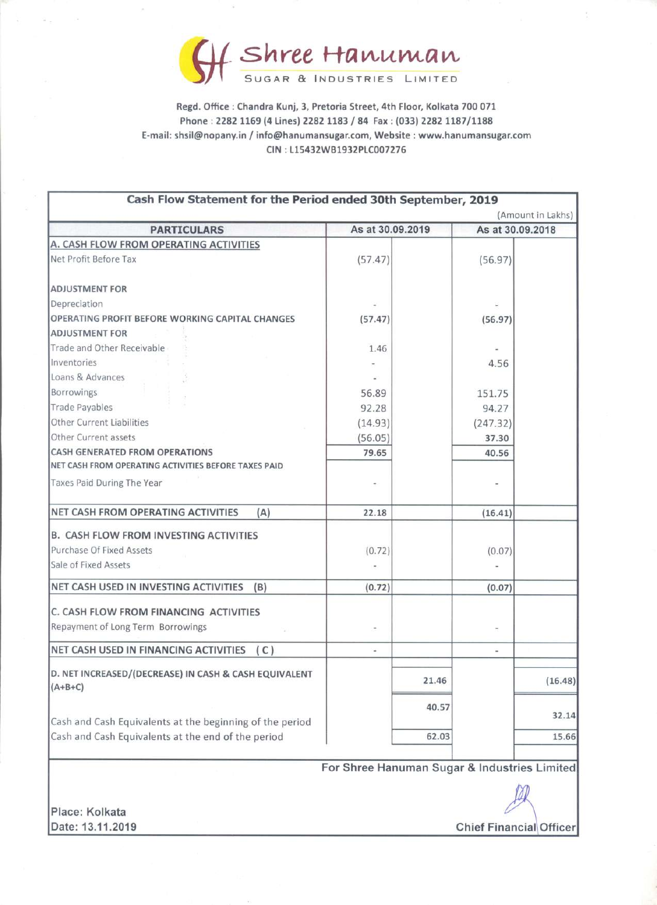

Regd. Office : Chandra Kunj, 3, Pretoria Street, 4th Floor, Kolkata 700 071 Phone : 2282 1169 (4 Lines) 2282 1183 / 84 Fax : (033) 2282 1187/1188 E-mail: shsil@nopany.in / info@hanumansugar.com, Website : www.hanumansugar.com **Shree**<br>
Sugar &<br>
Regd. Office : Chandra Kunj, 3,<br>
Phone : 2282 1169 (4 Lines) 22<br>
E-mail: shsil@nopany.in / info@hanum<br>
CIN : L1543 CIN : L15432WB1932PLC007276 **SHIPPE HAMUMAN**<br>
SUGAR & INDUSTRIES LIMITED<br>
Regd. Office : Chandra Kunj, 3, Pretoria Street, 4th Floor, Kolkata 700 071<br>
Phone : 2282 1169 (4 Lines) 2282 1183 / 84 Fax : (033) 2282 1187/1188<br>
mail: shsil@nopany.in / info

| f Shree Hanuman                                                                                                                                        |                                              |       |                 |                   |  |
|--------------------------------------------------------------------------------------------------------------------------------------------------------|----------------------------------------------|-------|-----------------|-------------------|--|
| SUGAR & INDUSTRIES LIMITED                                                                                                                             |                                              |       |                 |                   |  |
| Regd. Office: Chandra Kunj, 3, Pretoria Street, 4th Floor, Kolkata 700 071                                                                             |                                              |       |                 |                   |  |
| Phone: 2282 1169 (4 Lines) 2282 1183 / 84 Fax: (033) 2282 1187/1188<br>E-mail: shsil@nopany.in / info@hanumansugar.com, Website : www.hanumansugar.com |                                              |       |                 |                   |  |
|                                                                                                                                                        | CIN: L15432WB1932PLC007276                   |       |                 |                   |  |
|                                                                                                                                                        |                                              |       |                 |                   |  |
| Cash Flow Statement for the Period ended 30th September, 2019                                                                                          |                                              |       |                 |                   |  |
|                                                                                                                                                        |                                              |       |                 | (Amount in Lakhs) |  |
| <b>PARTICULARS</b><br>A. CASH FLOW FROM OPERATING ACTIVITIES                                                                                           | As at 30.09.2019                             |       |                 | As at 30.09.2018  |  |
| Net Profit Before Tax                                                                                                                                  | (57.47)                                      |       | (56.97)         |                   |  |
|                                                                                                                                                        |                                              |       |                 |                   |  |
| <b>ADJUSTMENT FOR</b><br>Depreciation                                                                                                                  |                                              |       |                 |                   |  |
| OPERATING PROFIT BEFORE WORKING CAPITAL CHANGES                                                                                                        | (57.47)                                      |       | (56.97)         |                   |  |
| <b>ADJUSTMENT FOR</b><br>Trade and Other Receivable                                                                                                    | 1.46                                         |       |                 |                   |  |
| Inventories                                                                                                                                            |                                              |       | 4.56            |                   |  |
| Loans & Advances                                                                                                                                       |                                              |       |                 |                   |  |
| Borrowings<br>Trade Payables                                                                                                                           | 56.89<br>92.28                               |       | 151.75<br>94.27 |                   |  |
| Other Current Liabilities                                                                                                                              | (14.93)                                      |       | (247.32)        |                   |  |
| Other Current assets<br><b>CASH GENERATED FROM OPERATIONS</b>                                                                                          | (56.05)                                      |       | 37.30           |                   |  |
| NET CASH FROM OPERATING ACTIVITIES BEFORE TAXES PAID                                                                                                   | 79.65                                        |       | 40.56           |                   |  |
| Taxes Paid During The Year                                                                                                                             |                                              |       |                 |                   |  |
| NET CASH FROM OPERATING ACTIVITIES<br>(A)                                                                                                              | 22.18                                        |       | (16.41)         |                   |  |
| <b>B. CASH FLOW FROM INVESTING ACTIVITIES</b>                                                                                                          |                                              |       |                 |                   |  |
| Purchase Of Fixed Assets                                                                                                                               | (0.72)                                       |       | (0.07)          |                   |  |
| Sale of Fixed Assets                                                                                                                                   |                                              |       |                 |                   |  |
| NET CASH USED IN INVESTING ACTIVITIES<br>(B)                                                                                                           | (0.72)                                       |       | (0.07)          |                   |  |
| C. CASH FLOW FROM FINANCING ACTIVITIES                                                                                                                 |                                              |       |                 |                   |  |
| Repayment of Long Term Borrowings                                                                                                                      |                                              |       |                 |                   |  |
| NET CASH USED IN FINANCING ACTIVITIES (C)                                                                                                              | ÷                                            |       | ¥               |                   |  |
| D. NET INCREASED/(DECREASE) IN CASH & CASH EQUIVALENT<br>$(A+B+C)$                                                                                     |                                              | 21.46 |                 | (16.48)           |  |
|                                                                                                                                                        |                                              |       |                 |                   |  |
| Cash and Cash Equivalents at the beginning of the period                                                                                               |                                              | 40.57 |                 | 32.14             |  |
| Cash and Cash Equivalents at the end of the period                                                                                                     |                                              | 62.03 |                 | 15.66             |  |
|                                                                                                                                                        | For Shree Hanuman Sugar & Industries Limited |       |                 |                   |  |
|                                                                                                                                                        |                                              |       |                 |                   |  |
| Place: Kolkata                                                                                                                                         |                                              |       |                 |                   |  |
| Date: 13.11.2019<br><b>Chief Financial Officer</b>                                                                                                     |                                              |       |                 |                   |  |